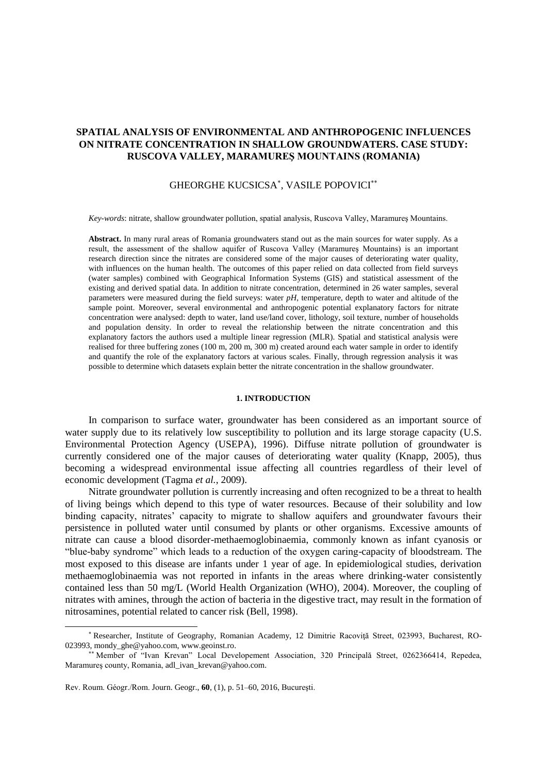# **SPATIAL ANALYSIS OF ENVIRONMENTAL AND ANTHROPOGENIC INFLUENCES ON NITRATE CONCENTRATION IN SHALLOW GROUNDWATERS. CASE STUDY: RUSCOVA VALLEY, MARAMUREŞ MOUNTAINS (ROMANIA)**

# GHEORGHE KUCSICSA<sup>\*</sup>, VASILE POPOVICI<sup>\*\*</sup>

*Key-words*: nitrate, shallow groundwater pollution, spatial analysis, Ruscova Valley, Maramureş Mountains.

**Abstract.** In many rural areas of Romania groundwaters stand out as the main sources for water supply. As a result, the assessment of the shallow aquifer of Ruscova Valley (Maramureş Mountains) is an important research direction since the nitrates are considered some of the major causes of deteriorating water quality, with influences on the human health. The outcomes of this paper relied on data collected from field surveys (water samples) combined with Geographical Information Systems (GIS) and statistical assessment of the existing and derived spatial data. In addition to nitrate concentration, determined in 26 water samples, several parameters were measured during the field surveys: water *pH*, temperature, depth to water and altitude of the sample point. Moreover, several environmental and anthropogenic potential explanatory factors for nitrate concentration were analysed: depth to water, land use/land cover, lithology, soil texture, number of households and population density. In order to reveal the relationship between the nitrate concentration and this explanatory factors the authors used a multiple linear regression (MLR). Spatial and statistical analysis were realised for three buffering zones (100 m, 200 m, 300 m) created around each water sample in order to identify and quantify the role of the explanatory factors at various scales. Finally, through regression analysis it was possible to determine which datasets explain better the nitrate concentration in the shallow groundwater.

### **1. INTRODUCTION**

In comparison to surface water, groundwater has been considered as an important source of water supply due to its relatively low susceptibility to pollution and its large storage capacity (U.S. Environmental Protection Agency (USEPA), 1996). Diffuse nitrate pollution of groundwater is currently considered one of the major causes of deteriorating water quality (Knapp, 2005), thus becoming a widespread environmental issue affecting all countries regardless of their level of economic development (Tagma *et al.*, 2009).

Nitrate groundwater pollution is currently increasing and often recognized to be a threat to health of living beings which depend to this type of water resources. Because of their solubility and low binding capacity, nitrates' capacity to migrate to shallow aquifers and groundwater favours their persistence in polluted water until consumed by plants or other organisms. Excessive amounts of nitrate can cause a blood disorder-methaemoglobinaemia, commonly known as infant cyanosis or "blue-baby syndrome" which leads to a reduction of the oxygen caring-capacity of bloodstream. The most exposed to this disease are infants under 1 year of age. In epidemiological studies, derivation methaemoglobinaemia was not reported in infants in the areas where drinking-water consistently contained less than 50 mg/L (World Health Organization (WHO), 2004). Moreover, the coupling of nitrates with amines, through the action of bacteria in the digestive tract, may result in the formation of nitrosamines, potential related to cancer risk (Bell, 1998).

 $\overline{a}$ 

<sup>&</sup>lt;sup>\*</sup> Researcher, Institute of Geography, Romanian Academy, 12 Dimitrie Racovită Street, 023993, Bucharest, RO-023993, mondy ghe@yahoo.com, www.geoinst.ro.

Member of "Ivan Krevan" Local Developement Association, 320 Principală Street, 0262366414, Repedea, Maramureş county, Romania, [adl\\_ivan\\_krevan@yahoo.com.](mailto:adl_ivan_krevan@yahoo.com)

Rev. Roum. Géogr./Rom. Journ. Geogr., **60**, (1), p. 51–60, 2016, Bucureşti.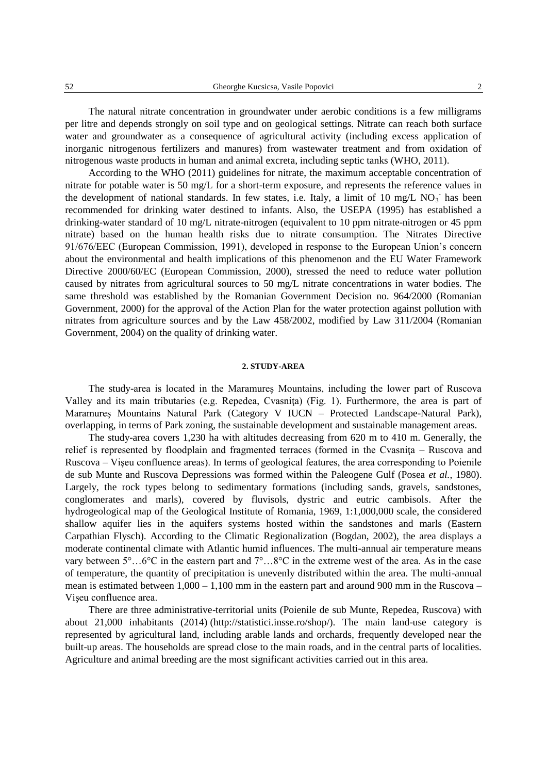The natural nitrate concentration in groundwater under aerobic conditions is a few milligrams per litre and depends strongly on soil type and on geological settings. Nitrate can reach both surface water and groundwater as a consequence of agricultural activity (including excess application of inorganic nitrogenous fertilizers and manures) from wastewater treatment and from oxidation of nitrogenous waste products in human and animal excreta, including septic tanks (WHO, 2011).

According to the WHO (2011) guidelines for nitrate, the maximum acceptable concentration of nitrate for potable water is 50 mg/L for a short-term exposure, and represents the reference values in the development of national standards. In few states, i.e. Italy, a limit of 10 mg/L NO<sub>3</sub> has been recommended for drinking water destined to infants. Also, the USEPA (1995) has established a drinking-water standard of 10 mg/L nitrate-nitrogen (equivalent to 10 ppm nitrate-nitrogen or 45 ppm nitrate) based on the human health risks due to nitrate consumption. The Nitrates Directive 91/676/EEC (European Commission, 1991), developed in response to the European Union's concern about the environmental and health implications of this phenomenon and the EU Water Framework Directive 2000/60/EC (European Commission, 2000), stressed the need to reduce water pollution caused by nitrates from agricultural sources to 50 mg/L nitrate concentrations in water bodies. The same threshold was established by the Romanian Government Decision no. 964/2000 (Romanian Government, 2000) for the approval of the Action Plan for the water protection against pollution with nitrates from agriculture sources and by the Law 458/2002, modified by Law 311/2004 (Romanian Government, 2004) on the quality of drinking water.

### **2. STUDY-AREA**

The study-area is located in the Maramureş Mountains, including the lower part of Ruscova Valley and its main tributaries (e.g. Repedea, Cvasniţa) (Fig. 1). Furthermore, the area is part of Maramureş Mountains Natural Park (Category V IUCN – Protected Landscape-Natural Park), overlapping, in terms of Park zoning, the sustainable development and sustainable management areas.

The study-area covers 1,230 ha with altitudes decreasing from 620 m to 410 m. Generally, the relief is represented by floodplain and fragmented terraces (formed in the Cvasnita – Ruscova and Ruscova – Vişeu confluence areas). In terms of geological features, the area corresponding to Poienile de sub Munte and Ruscova Depressions was formed within the Paleogene Gulf (Posea *et al.*, 1980). Largely, the rock types belong to sedimentary formations (including sands, gravels, sandstones, conglomerates and marls), covered by fluvisols, dystric and eutric cambisols. After the hydrogeological map of the Geological Institute of Romania, 1969, 1:1,000,000 scale, the considered shallow aquifer lies in the aquifers systems hosted within the sandstones and marls (Eastern Carpathian Flysch). According to the Climatic Regionalization (Bogdan, 2002), the area displays a moderate continental climate with Atlantic humid influences. The multi-annual air temperature means vary between 5°…6°C in the eastern part and 7°…8°C in the extreme west of the area. As in the case of temperature, the quantity of precipitation is unevenly distributed within the area. The multi-annual mean is estimated between  $1,000 - 1,100$  mm in the eastern part and around 900 mm in the Ruscova – Vişeu confluence area.

There are three administrative-territorial units (Poienile de sub Munte, Repedea, Ruscova) with about 21,000 inhabitants (2014) (http://statistici.insse.ro/shop/). The main land-use category is represented by agricultural land, including arable lands and orchards, frequently developed near the built-up areas. The households are spread close to the main roads, and in the central parts of localities. Agriculture and animal breeding are the most significant activities carried out in this area.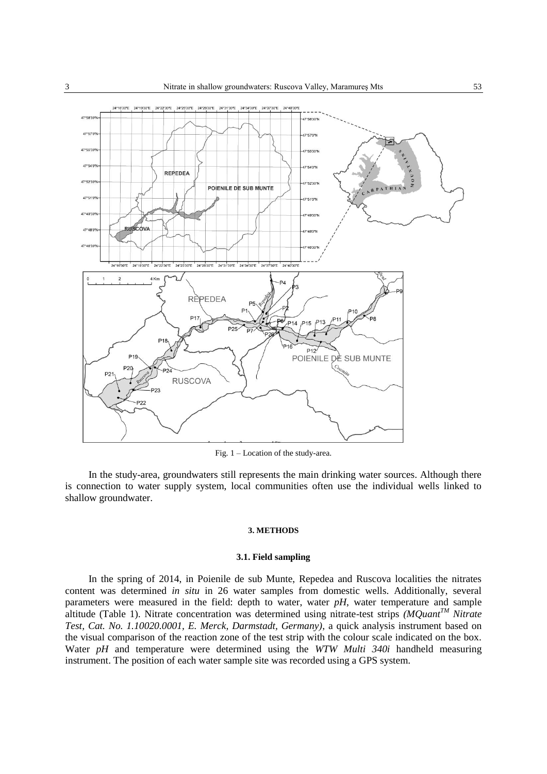

Fig. 1 – Location of the study-area.

In the study-area, groundwaters still represents the main drinking water sources. Although there is connection to water supply system, local communities often use the individual wells linked to shallow groundwater.

### **3. METHODS**

### **3.1. Field sampling**

In the spring of 2014, in Poienile de sub Munte, Repedea and Ruscova localities the nitrates content was determined *in situ* in 26 water samples from domestic wells. Additionally, several parameters were measured in the field: depth to water, water *pH*, water temperature and sample altitude (Table 1). Nitrate concentration was determined using nitrate-test strips *(MQuantTM Nitrate Test, Cat. No. 1.10020.0001, E. Merck, Darmstadt, Germany)*, a quick analysis instrument based on the visual comparison of the reaction zone of the test strip with the colour scale indicated on the box. Water *pH* and temperature were determined using the *WTW Multi 340i* handheld measuring instrument. The position of each water sample site was recorded using a GPS system.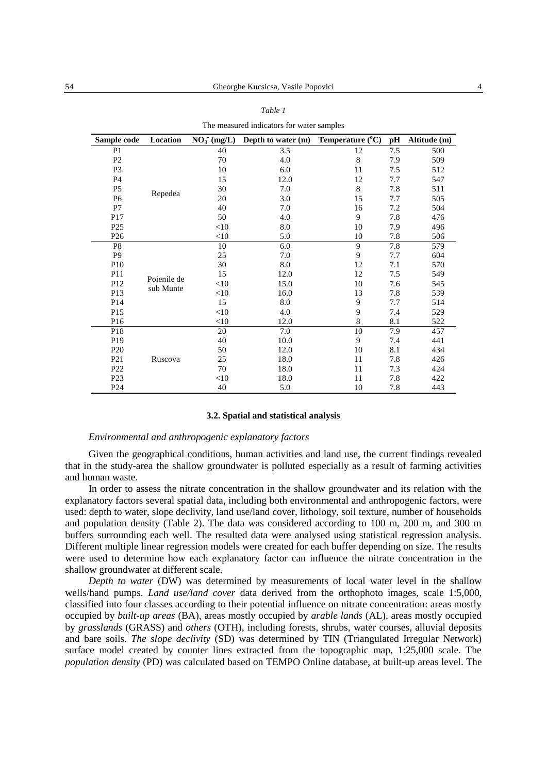| The measured meneators for water samples |                          |               |                    |                           |     |              |  |  |
|------------------------------------------|--------------------------|---------------|--------------------|---------------------------|-----|--------------|--|--|
| Sample code                              | Location                 | $NO_3$ (mg/L) | Depth to water (m) | Temperature $(^{\circ}C)$ | pH  | Altitude (m) |  |  |
| P <sub>1</sub>                           | Repedea                  | 40            | 3.5                | 12                        | 7.5 | 500          |  |  |
| P <sub>2</sub>                           |                          | 70            | 4.0                | 8                         | 7.9 | 509          |  |  |
| P <sub>3</sub>                           |                          | 10            | 6.0                | 11                        | 7.5 | 512          |  |  |
| P4                                       |                          | 15            | 12.0               | 12                        | 7.7 | 547          |  |  |
| P <sub>5</sub>                           |                          | 30            | 7.0                | 8                         | 7.8 | 511          |  |  |
| P <sub>6</sub>                           |                          | 20            | 3.0                | 15                        | 7.7 | 505          |  |  |
| P7                                       |                          | 40            | 7.0                | 16                        | 7.2 | 504          |  |  |
| P17                                      |                          | 50            | 4.0                | 9                         | 7.8 | 476          |  |  |
| P <sub>25</sub>                          |                          | $<$ 10        | 8.0                | 10                        | 7.9 | 496          |  |  |
| P <sub>26</sub>                          |                          | $<$ 10        | 5.0                | 10                        | 7.8 | 506          |  |  |
| P <sub>8</sub>                           | Poienile de<br>sub Munte | 10            | 6.0                | 9                         | 7.8 | 579          |  |  |
| P <sub>9</sub>                           |                          | 25            | 7.0                | 9                         | 7.7 | 604          |  |  |
| P <sub>10</sub>                          |                          | 30            | 8.0                | 12                        | 7.1 | 570          |  |  |
| P <sub>11</sub>                          |                          | 15            | 12.0               | 12                        | 7.5 | 549          |  |  |
| P <sub>12</sub>                          |                          | $<$ 10        | 15.0               | 10                        | 7.6 | 545          |  |  |
| P13                                      |                          | $<$ 10        | 16.0               | 13                        | 7.8 | 539          |  |  |
| P <sub>14</sub>                          |                          | 15            | 8.0                | 9                         | 7.7 | 514          |  |  |
| P <sub>15</sub>                          |                          | $<$ 10        | 4.0                | 9                         | 7.4 | 529          |  |  |
| P <sub>16</sub>                          |                          | $<$ 10        | 12.0               | $\,8\,$                   | 8.1 | 522          |  |  |
| P <sub>18</sub>                          | Ruscova                  | 20            | 7.0                | 10                        | 7.9 | 457          |  |  |
| P <sub>19</sub>                          |                          | 40            | 10.0               | 9                         | 7.4 | 441          |  |  |
| P <sub>20</sub>                          |                          | 50            | 12.0               | 10                        | 8.1 | 434          |  |  |
| P <sub>21</sub>                          |                          | 25            | 18.0               | 11                        | 7.8 | 426          |  |  |
| P <sub>22</sub>                          |                          | 70            | 18.0               | 11                        | 7.3 | 424          |  |  |
| P <sub>23</sub>                          |                          | $<$ 10        | 18.0               | 11                        | 7.8 | 422          |  |  |
| P <sub>24</sub>                          |                          | 40            | 5.0                | 10                        | 7.8 | 443          |  |  |

The measured indicators for water samples

#### **3.2. Spatial and statistical analysis**

# *Environmental and anthropogenic explanatory factors*

Given the geographical conditions, human activities and land use, the current findings revealed that in the study-area the shallow groundwater is polluted especially as a result of farming activities and human waste.

In order to assess the nitrate concentration in the shallow groundwater and its relation with the explanatory factors several spatial data, including both environmental and anthropogenic factors, were used: depth to water, slope declivity, land use/land cover, lithology, soil texture, number of households and population density (Table 2). The data was considered according to 100 m, 200 m, and 300 m buffers surrounding each well. The resulted data were analysed using statistical regression analysis. Different multiple linear regression models were created for each buffer depending on size. The results were used to determine how each explanatory factor can influence the nitrate concentration in the shallow groundwater at different scale.

*Depth to water* (DW) was determined by measurements of local water level in the shallow wells/hand pumps. *Land use/land cover* data derived from the orthophoto images, scale 1:5,000, classified into four classes according to their potential influence on nitrate concentration: areas mostly occupied by *built-up areas* (BA), areas mostly occupied by *arable lands* (AL), areas mostly occupied by *grasslands* (GRASS) and *others* (OTH), including forests, shrubs, water courses, alluvial deposits and bare soils. *The slope declivity* (SD) was determined by TIN (Triangulated Irregular Network) surface model created by counter lines extracted from the topographic map, 1:25,000 scale. The *population density* (PD) was calculated based on TEMPO Online database, at built-up areas level. The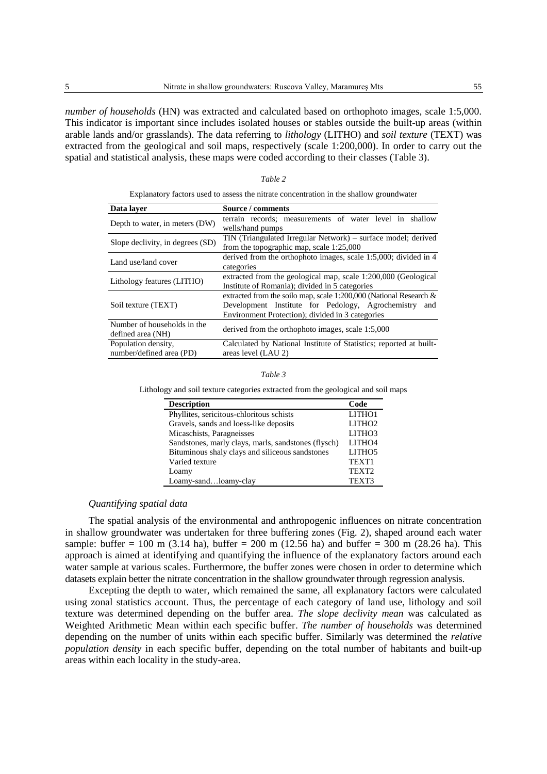*number of households* (HN) was extracted and calculated based on orthophoto images, scale 1:5,000. This indicator is important since includes isolated houses or stables outside the built-up areas (within arable lands and/or grasslands). The data referring to *lithology* (LITHO) and *soil texture* (TEXT) was extracted from the geological and soil maps, respectively (scale 1:200,000). In order to carry out the spatial and statistical analysis, these maps were coded according to their classes (Table 3).

### *Table 2*

Explanatory factors used to assess the nitrate concentration in the shallow groundwater

| Data layer                       | Source / comments                                                  |  |  |  |  |
|----------------------------------|--------------------------------------------------------------------|--|--|--|--|
| Depth to water, in meters (DW)   | terrain records; measurements of water level in shallow            |  |  |  |  |
|                                  | wells/hand pumps                                                   |  |  |  |  |
| Slope declivity, in degrees (SD) | TIN (Triangulated Irregular Network) – surface model; derived      |  |  |  |  |
|                                  | from the topographic map, scale $1:25,000$                         |  |  |  |  |
| Land use/land cover              | derived from the orthophoto images, scale 1:5,000; divided in 4    |  |  |  |  |
|                                  | categories                                                         |  |  |  |  |
| Lithology features (LITHO)       | extracted from the geological map, scale 1:200,000 (Geological     |  |  |  |  |
|                                  | Institute of Romania); divided in 5 categories                     |  |  |  |  |
|                                  | extracted from the soilo map, scale 1:200,000 (National Research & |  |  |  |  |
| Soil texture (TEXT)              | Development Institute for Pedology, Agrochemistry and              |  |  |  |  |
|                                  | Environment Protection); divided in 3 categories                   |  |  |  |  |
| Number of households in the      | derived from the orthophoto images, scale 1:5,000                  |  |  |  |  |
| defined area (NH)                |                                                                    |  |  |  |  |
| Population density,              | Calculated by National Institute of Statistics; reported at built- |  |  |  |  |
| number/defined area (PD)         | areas level (LAU 2)                                                |  |  |  |  |

Lithology and soil texture categories extracted from the geological and soil maps

| <b>Description</b>                                  | Code               |
|-----------------------------------------------------|--------------------|
| Phyllites, sericitous-chloritous schists            | LITHO1             |
| Gravels, sands and loess-like deposits              | LITHO <sub>2</sub> |
| Micaschists, Paragneisses                           | LITHO3             |
| Sandstones, marly clays, marls, sandstones (flysch) | LITH <sub>O4</sub> |
| Bituminous shaly clays and siliceous sandstones     | LITH <sub>O5</sub> |
| Varied texture                                      | TEXT1              |
| Loamy                                               | TEXT <sub>2</sub>  |
| Loamy-sandloamy-clay                                | TEXT3              |

## *Quantifying spatial data*

The spatial analysis of the environmental and anthropogenic influences on nitrate concentration in shallow groundwater was undertaken for three buffering zones (Fig. 2), shaped around each water sample: buffer = 100 m (3.14 ha), buffer = 200 m (12.56 ha) and buffer = 300 m (28.26 ha). This approach is aimed at identifying and quantifying the influence of the explanatory factors around each water sample at various scales. Furthermore, the buffer zones were chosen in order to determine which datasets explain better the nitrate concentration in the shallow groundwater through regression analysis.

Excepting the depth to water, which remained the same, all explanatory factors were calculated using zonal statistics account. Thus, the percentage of each category of land use, lithology and soil texture was determined depending on the buffer area. *The slope declivity mean* was calculated as Weighted Arithmetic Mean within each specific buffer. *The number of households* was determined depending on the number of units within each specific buffer. Similarly was determined the *relative population density* in each specific buffer, depending on the total number of habitants and built-up areas within each locality in the study-area.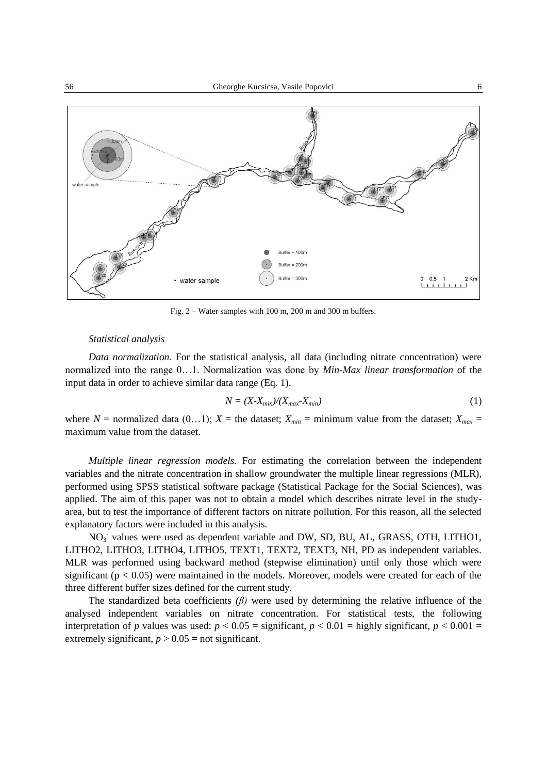

Fig. 2 – Water samples with 100 m, 200 m and 300 m buffers.

# *Statistical analysis*

*Data normalization.* For the statistical analysis, all data (including nitrate concentration) were normalized into the range 0…1. Normalization was done by *Min-Max linear transformation* of the input data in order to achieve similar data range (Eq. 1).

$$
N = (X - X_{min})/(X_{max} - X_{min})
$$
\n<sup>(1)</sup>

where  $N =$  normalized data (0...1);  $X =$  the dataset;  $X_{min} =$  minimum value from the dataset;  $X_{max} =$ maximum value from the dataset.

*Multiple linear regression models.* For estimating the correlation between the independent variables and the nitrate concentration in shallow groundwater the multiple linear regressions (MLR), performed using SPSS statistical software package (Statistical Package for the Social Sciences), was applied. The aim of this paper was not to obtain a model which describes nitrate level in the studyarea, but to test the importance of different factors on nitrate pollution. For this reason, all the selected explanatory factors were included in this analysis.

NO<sub>3</sub> values were used as dependent variable and DW, SD, BU, AL, GRASS, OTH, LITHO1, LITHO2, LITHO3, LITHO4, LITHO5, TEXT1, TEXT2, TEXT3, NH, PD as independent variables. MLR was performed using backward method (stepwise elimination) until only those which were significant ( $p < 0.05$ ) were maintained in the models. Moreover, models were created for each of the three different buffer sizes defined for the current study.

The standardized beta coefficients  $(\beta)$  were used by determining the relative influence of the analysed independent variables on nitrate concentration. For statistical tests, the following interpretation of *p* values was used:  $p < 0.05$  = significant,  $p < 0.01$  = highly significant,  $p < 0.001$  = extremely significant,  $p > 0.05$  = not significant.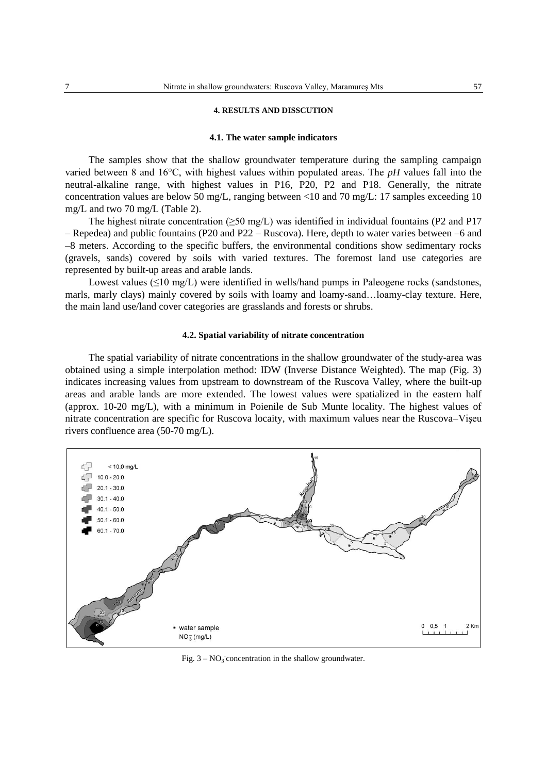### **4. RESULTS AND DISSCUTION**

### **4.1. The water sample indicators**

The samples show that the shallow groundwater temperature during the sampling campaign varied between 8 and 16°C, with highest values within populated areas. The *pH* values fall into the neutral-alkaline range, with highest values in P16, P20, P2 and P18. Generally, the nitrate concentration values are below 50 mg/L, ranging between  $\langle 10 \text{ and } 70 \text{ mg/L}$ : 17 samples exceeding 10 mg/L and two 70 mg/L (Table 2).

The highest nitrate concentration ( $\geq$ 50 mg/L) was identified in individual fountains (P2 and P17 – Repedea) and public fountains (P20 and P22 – Ruscova). Here, depth to water varies between –6 and –8 meters. According to the specific buffers, the environmental conditions show sedimentary rocks (gravels, sands) covered by soils with varied textures. The foremost land use categories are represented by built-up areas and arable lands.

Lowest values ( $\leq$ 10 mg/L) were identified in wells/hand pumps in Paleogene rocks (sandstones, marls, marly clays) mainly covered by soils with loamy and loamy-sand…loamy-clay texture. Here, the main land use/land cover categories are grasslands and forests or shrubs.

### **4.2. Spatial variability of nitrate concentration**

The spatial variability of nitrate concentrations in the shallow groundwater of the study-area was obtained using a simple interpolation method: IDW (Inverse Distance Weighted). The map (Fig. 3) indicates increasing values from upstream to downstream of the Ruscova Valley, where the built-up areas and arable lands are more extended. The lowest values were spatialized in the eastern half (approx. 10-20 mg/L), with a minimum in Poienile de Sub Munte locality. The highest values of nitrate concentration are specific for Ruscova locaity, with maximum values near the Ruscova–Vişeu rivers confluence area (50-70 mg/L).



Fig.  $3 - NO_3$  concentration in the shallow groundwater.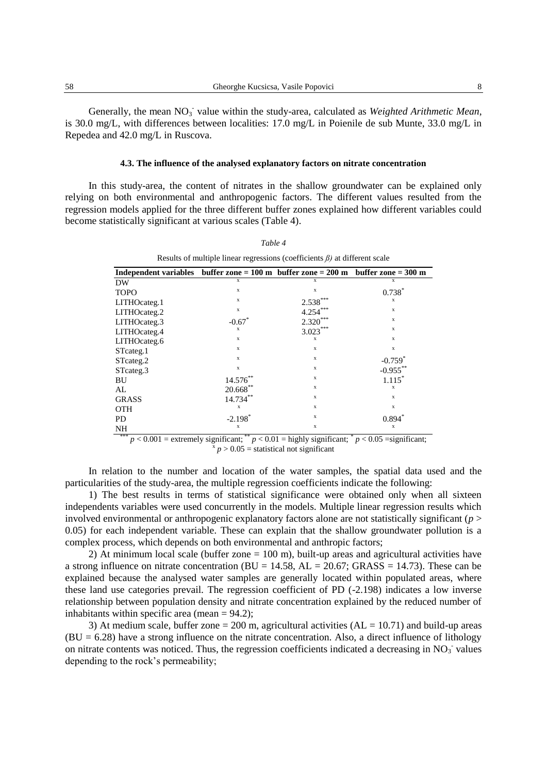Generally, the mean NO<sub>3</sub> value within the study-area, calculated as *Weighted Arithmetic Mean*, is 30.0 mg/L, with differences between localities: 17.0 mg/L in Poienile de sub Munte, 33.0 mg/L in Repedea and 42.0 mg/L in Ruscova.

### **4.3. The influence of the analysed explanatory factors on nitrate concentration**

In this study-area, the content of nitrates in the shallow groundwater can be explained only relying on both environmental and anthropogenic factors. The different values resulted from the regression models applied for the three different buffer zones explained how different variables could become statistically significant at various scales (Table 4).

*Table 4*

| Results of multiple linear regressions (coefficients $\beta$ ) at different scale                               |                                               |                            |                                                       |  |  |  |  |
|-----------------------------------------------------------------------------------------------------------------|-----------------------------------------------|----------------------------|-------------------------------------------------------|--|--|--|--|
| Independent variables buffer zone = $100 \text{ m}$ buffer zone = $200 \text{ m}$ buffer zone = $300 \text{ m}$ |                                               |                            |                                                       |  |  |  |  |
| DW                                                                                                              | X                                             | $\mathbf x$                | X                                                     |  |  |  |  |
| <b>TOPO</b>                                                                                                     | X                                             | X                          | $0.738*$                                              |  |  |  |  |
| LITHOcateg.1                                                                                                    | X                                             | 2.538                      | X                                                     |  |  |  |  |
| LITHOcateg.2                                                                                                    | $\mathbf x$                                   | 4.254                      | $\mathbf{x}$                                          |  |  |  |  |
| LITHOcateg.3                                                                                                    | $-0.67$ <sup>*</sup>                          | $2.320***$                 | $\mathbf{x}$                                          |  |  |  |  |
| LITHOcateg.4                                                                                                    | X                                             | $3.023***$                 | $\mathbf{x}$                                          |  |  |  |  |
| LITHOcateg.6                                                                                                    | X                                             | X                          | $\mathbf x$                                           |  |  |  |  |
| STcateg.1                                                                                                       | X                                             | X                          | $\mathbf x$                                           |  |  |  |  |
| STcateg.2                                                                                                       | X                                             | X                          | $-0.759$ <sup>*</sup>                                 |  |  |  |  |
| STcateg.3                                                                                                       | X                                             | X                          | $-0.955***$                                           |  |  |  |  |
| BU                                                                                                              | $14.576***$                                   | X                          | $1.115*$                                              |  |  |  |  |
| AL                                                                                                              | $20.668^{\ast\ast}$                           | X                          | X                                                     |  |  |  |  |
| <b>GRASS</b>                                                                                                    | $14.734***$                                   | $\mathbf x$                | $\mathbf x$                                           |  |  |  |  |
| <b>OTH</b>                                                                                                      | $\mathbf x$                                   | X                          | $\mathbf x$                                           |  |  |  |  |
| <b>PD</b>                                                                                                       | $-2.198*$                                     | X                          | $0.894*$                                              |  |  |  |  |
| NH<br>***<br>0.001                                                                                              | $\mathbf x$<br>**<br>$\sim$<br>$\sim$<br>0.01 | $\mathbf x$<br>$\sim$<br>. | X<br>$\ast$<br>$\cdot$ $\sim$<br>$\sim$ $\sim$ $\sim$ |  |  |  |  |

\*\*\*  $p < 0.001$  = extremely significant; \*\*  $p < 0.01$  = highly significant; \*  $p < 0.05$  = significant;  $\frac{x}{p}$   $> 0.05$  = statistical not significant

In relation to the number and location of the water samples, the spatial data used and the particularities of the study-area, the multiple regression coefficients indicate the following:

1) The best results in terms of statistical significance were obtained only when all sixteen independents variables were used concurrently in the models. Multiple linear regression results which involved environmental or anthropogenic explanatory factors alone are not statistically significant (*p* > 0.05) for each independent variable. These can explain that the shallow groundwater pollution is a complex process, which depends on both environmental and anthropic factors;

2) At minimum local scale (buffer zone = 100 m), built-up areas and agricultural activities have a strong influence on nitrate concentration ( $BU = 14.58$ ,  $AL = 20.67$ ; GRASS = 14.73). These can be explained because the analysed water samples are generally located within populated areas, where these land use categories prevail. The regression coefficient of PD (-2.198) indicates a low inverse relationship between population density and nitrate concentration explained by the reduced number of inhabitants within specific area (mean  $= 94.2$ );

3) At medium scale, buffer zone = 200 m, agricultural activities ( $AL = 10.71$ ) and build-up areas  $(BU = 6.28)$  have a strong influence on the nitrate concentration. Also, a direct influence of lithology on nitrate contents was noticed. Thus, the regression coefficients indicated a decreasing in  $NO<sub>3</sub>$  values depending to the rock's permeability;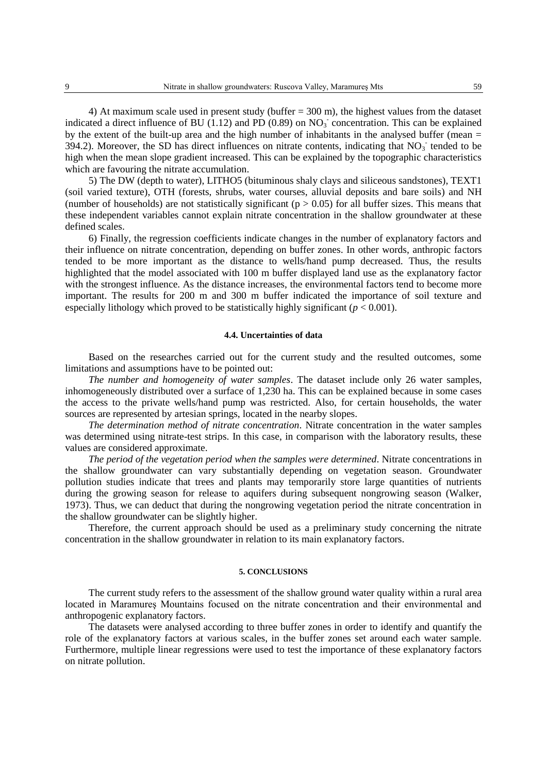4) At maximum scale used in present study (buffer = 300 m), the highest values from the dataset indicated a direct influence of BU (1.12) and PD (0.89) on  $NO<sub>3</sub>$  concentration. This can be explained by the extent of the built-up area and the high number of inhabitants in the analysed buffer (mean = 394.2). Moreover, the SD has direct influences on nitrate contents, indicating that  $NO<sub>3</sub>$  tended to be high when the mean slope gradient increased. This can be explained by the topographic characteristics which are favouring the nitrate accumulation.

5) The DW (depth to water), LITHO5 (bituminous shaly clays and siliceous sandstones), TEXT1 (soil varied texture), OTH (forests, shrubs, water courses, alluvial deposits and bare soils) and NH (number of households) are not statistically significant ( $p > 0.05$ ) for all buffer sizes. This means that these independent variables cannot explain nitrate concentration in the shallow groundwater at these defined scales.

6) Finally, the regression coefficients indicate changes in the number of explanatory factors and their influence on nitrate concentration, depending on buffer zones. In other words, anthropic factors tended to be more important as the distance to wells/hand pump decreased. Thus, the results highlighted that the model associated with 100 m buffer displayed land use as the explanatory factor with the strongest influence. As the distance increases, the environmental factors tend to become more important. The results for 200 m and 300 m buffer indicated the importance of soil texture and especially lithology which proved to be statistically highly significant  $(p < 0.001)$ .

### **4.4. Uncertainties of data**

Based on the researches carried out for the current study and the resulted outcomes, some limitations and assumptions have to be pointed out:

*The number and homogeneity of water samples*. The dataset include only 26 water samples, inhomogeneously distributed over a surface of 1,230 ha. This can be explained because in some cases the access to the private wells/hand pump was restricted. Also, for certain households, the water sources are represented by artesian springs, located in the nearby slopes.

*The determination method of nitrate concentration*. Nitrate concentration in the water samples was determined using nitrate-test strips. In this case, in comparison with the laboratory results, these values are considered approximate.

*The period of the vegetation period when the samples were determined*. Nitrate concentrations in the shallow groundwater can vary substantially depending on vegetation season. Groundwater pollution studies indicate that trees and plants may temporarily store large quantities of nutrients during the growing season for release to aquifers during subsequent nongrowing season (Walker, 1973). Thus, we can deduct that during the nongrowing vegetation period the nitrate concentration in the shallow groundwater can be slightly higher.

Therefore, the current approach should be used as a preliminary study concerning the nitrate concentration in the shallow groundwater in relation to its main explanatory factors.

# **5. CONCLUSIONS**

The current study refers to the assessment of the shallow ground water quality within a rural area located in Maramureş Mountains focused on the nitrate concentration and their environmental and anthropogenic explanatory factors.

The datasets were analysed according to three buffer zones in order to identify and quantify the role of the explanatory factors at various scales, in the buffer zones set around each water sample. Furthermore, multiple linear regressions were used to test the importance of these explanatory factors on nitrate pollution.